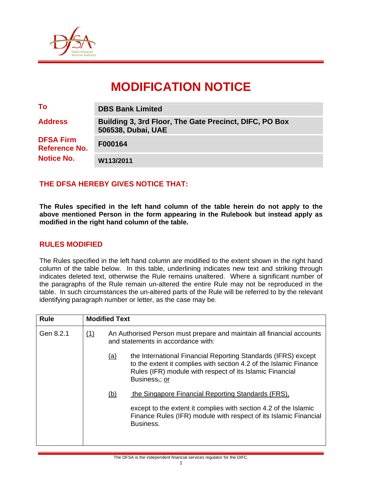

# **MODIFICATION NOTICE**

| To                                       | <b>DBS Bank Limited</b>                                                      |  |  |
|------------------------------------------|------------------------------------------------------------------------------|--|--|
| <b>Address</b>                           | Building 3, 3rd Floor, The Gate Precinct, DIFC, PO Box<br>506538, Dubai, UAE |  |  |
| <b>DFSA Firm</b><br><b>Reference No.</b> | F000164                                                                      |  |  |
| <b>Notice No.</b>                        | W113/2011                                                                    |  |  |

# **THE DFSA HEREBY GIVES NOTICE THAT:**

**The Rules specified in the left hand column of the table herein do not apply to the above mentioned Person in the form appearing in the Rulebook but instead apply as modified in the right hand column of the table.** 

#### **RULES MODIFIED**

The Rules specified in the left hand column are modified to the extent shown in the right hand column of the table below. In this table, underlining indicates new text and striking through indicates deleted text, otherwise the Rule remains unaltered. Where a significant number of the paragraphs of the Rule remain un-altered the entire Rule may not be reproduced in the table. In such circumstances the un-altered parts of the Rule will be referred to by the relevant identifying paragraph number or letter, as the case may be.

| <b>Rule</b> | <b>Modified Text</b> |                                                                                                             |                                                                                                                                                                                                                 |  |  |
|-------------|----------------------|-------------------------------------------------------------------------------------------------------------|-----------------------------------------------------------------------------------------------------------------------------------------------------------------------------------------------------------------|--|--|
| Gen 8.2.1   | (1)                  | An Authorised Person must prepare and maintain all financial accounts<br>and statements in accordance with: |                                                                                                                                                                                                                 |  |  |
|             |                      | <u>(a)</u>                                                                                                  | the International Financial Reporting Standards (IFRS) except<br>to the extent it complies with section 4.2 of the Islamic Finance<br>Rules (IFR) module with respect of its Islamic Financial<br>Business,; or |  |  |
|             |                      | (b)                                                                                                         | the Singapore Financial Reporting Standards (FRS),                                                                                                                                                              |  |  |
|             |                      |                                                                                                             | except to the extent it complies with section 4.2 of the Islamic<br>Finance Rules (IFR) module with respect of its Islamic Financial<br>Business.                                                               |  |  |
|             |                      |                                                                                                             |                                                                                                                                                                                                                 |  |  |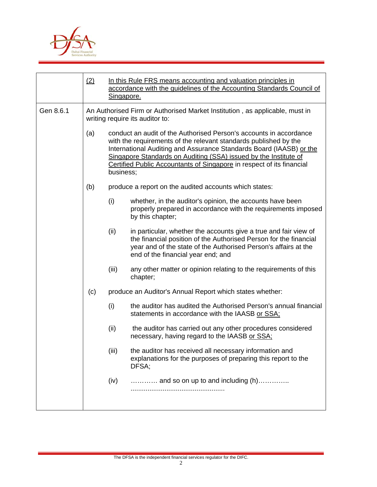

|           | (2) | Singapore.                                                                                                     | In this Rule FRS means accounting and valuation principles in<br>accordance with the guidelines of the Accounting Standards Council of                                                                                                                                                                                                                                  |  |  |
|-----------|-----|----------------------------------------------------------------------------------------------------------------|-------------------------------------------------------------------------------------------------------------------------------------------------------------------------------------------------------------------------------------------------------------------------------------------------------------------------------------------------------------------------|--|--|
| Gen 8.6.1 |     | An Authorised Firm or Authorised Market Institution, as applicable, must in<br>writing require its auditor to: |                                                                                                                                                                                                                                                                                                                                                                         |  |  |
|           | (a) |                                                                                                                | conduct an audit of the Authorised Person's accounts in accordance<br>with the requirements of the relevant standards published by the<br>International Auditing and Assurance Standards Board (IAASB) or the<br>Singapore Standards on Auditing (SSA) issued by the Institute of<br>Certified Public Accountants of Singapore in respect of its financial<br>business; |  |  |
|           | (b) |                                                                                                                | produce a report on the audited accounts which states:                                                                                                                                                                                                                                                                                                                  |  |  |
|           |     | (i)                                                                                                            | whether, in the auditor's opinion, the accounts have been<br>properly prepared in accordance with the requirements imposed<br>by this chapter;                                                                                                                                                                                                                          |  |  |
|           |     | (ii)                                                                                                           | in particular, whether the accounts give a true and fair view of<br>the financial position of the Authorised Person for the financial<br>year and of the state of the Authorised Person's affairs at the<br>end of the financial year end; and                                                                                                                          |  |  |
|           |     | (iii)                                                                                                          | any other matter or opinion relating to the requirements of this<br>chapter;                                                                                                                                                                                                                                                                                            |  |  |
|           | (c) |                                                                                                                | produce an Auditor's Annual Report which states whether:                                                                                                                                                                                                                                                                                                                |  |  |
|           |     | (i)                                                                                                            | the auditor has audited the Authorised Person's annual financial<br>statements in accordance with the IAASB or SSA;                                                                                                                                                                                                                                                     |  |  |
|           |     | (ii)                                                                                                           | the auditor has carried out any other procedures considered<br>necessary, having regard to the IAASB or SSA:                                                                                                                                                                                                                                                            |  |  |
|           |     | (iii)                                                                                                          | the auditor has received all necessary information and<br>explanations for the purposes of preparing this report to the<br>DFSA;                                                                                                                                                                                                                                        |  |  |
|           |     | (iv)                                                                                                           | $\ldots$ and so on up to and including (h)                                                                                                                                                                                                                                                                                                                              |  |  |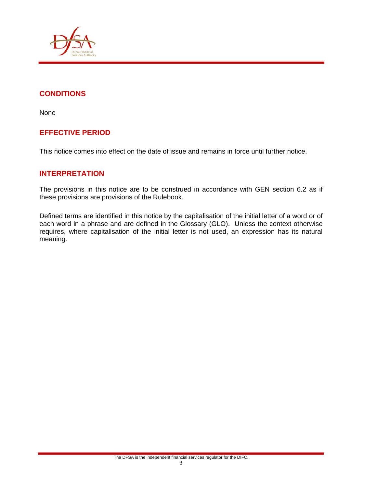

# **CONDITIONS**

None

# **EFFECTIVE PERIOD**

This notice comes into effect on the date of issue and remains in force until further notice.

### **INTERPRETATION**

The provisions in this notice are to be construed in accordance with GEN section 6.2 as if these provisions are provisions of the Rulebook.

Defined terms are identified in this notice by the capitalisation of the initial letter of a word or of each word in a phrase and are defined in the Glossary (GLO). Unless the context otherwise requires, where capitalisation of the initial letter is not used, an expression has its natural meaning.